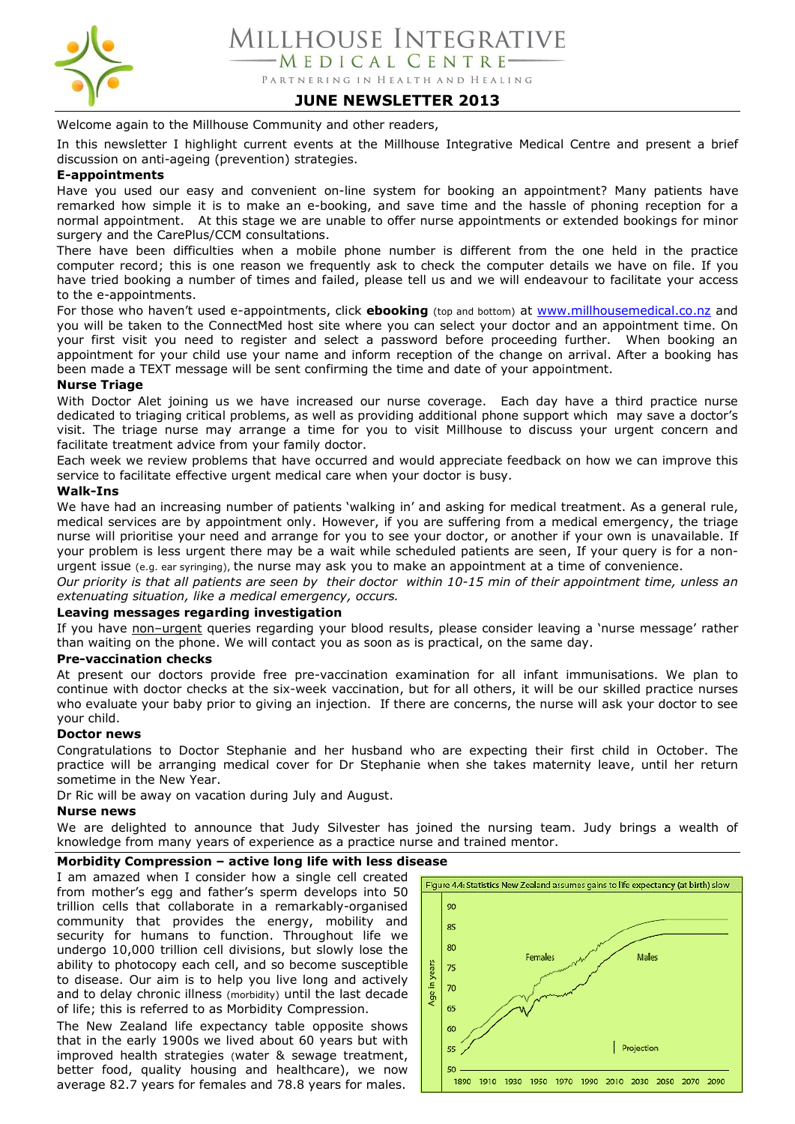

## **JUNE NEWSLETTER 2013**

Welcome again to the Millhouse Community and other readers,

In this newsletter I highlight current events at the Millhouse Integrative Medical Centre and present a brief discussion on anti-ageing (prevention) strategies.

#### **E-appointments**

Have you used our easy and convenient on-line system for booking an appointment? Many patients have remarked how simple it is to make an e-booking, and save time and the hassle of phoning reception for a normal appointment. At this stage we are unable to offer nurse appointments or extended bookings for minor surgery and the CarePlus/CCM consultations.

There have been difficulties when a mobile phone number is different from the one held in the practice computer record; this is one reason we frequently ask to check the computer details we have on file. If you have tried booking a number of times and failed, please tell us and we will endeavour to facilitate your access to the e-appointments.

For those who haven't used e-appointments, click **ebooking** (top and bottom) at [www.millhousemedical.co.nz](http://www.millhousemedical.co.nz/) and you will be taken to the ConnectMed host site where you can select your doctor and an appointment time. On your first visit you need to register and select a password before proceeding further. When booking an appointment for your child use your name and inform reception of the change on arrival. After a booking has been made a TEXT message will be sent confirming the time and date of your appointment.

#### **Nurse Triage**

With Doctor Alet joining us we have increased our nurse coverage. Each day have a third practice nurse dedicated to triaging critical problems, as well as providing additional phone support which may save a doctor's visit. The triage nurse may arrange a time for you to visit Millhouse to discuss your urgent concern and facilitate treatment advice from your family doctor.

Each week we review problems that have occurred and would appreciate feedback on how we can improve this service to facilitate effective urgent medical care when your doctor is busy.

### **Walk-Ins**

We have had an increasing number of patients 'walking in' and asking for medical treatment. As a general rule, medical services are by appointment only. However, if you are suffering from a medical emergency, the triage nurse will prioritise your need and arrange for you to see your doctor, or another if your own is unavailable. If your problem is less urgent there may be a wait while scheduled patients are seen, If your query is for a nonurgent issue (e.g. ear syringing), the nurse may ask you to make an appointment at a time of convenience.

*Our priority is that all patients are seen by their doctor within 10-15 min of their appointment time, unless an extenuating situation, like a medical emergency, occurs.* 

#### **Leaving messages regarding investigation**

If you have non-urgent queries regarding your blood results, please consider leaving a 'nurse message' rather than waiting on the phone. We will contact you as soon as is practical, on the same day.

#### **Pre-vaccination checks**

At present our doctors provide free pre-vaccination examination for all infant immunisations. We plan to continue with doctor checks at the six-week vaccination, but for all others, it will be our skilled practice nurses who evaluate your baby prior to giving an injection. If there are concerns, the nurse will ask your doctor to see your child.

#### **Doctor news**

Congratulations to Doctor Stephanie and her husband who are expecting their first child in October. The practice will be arranging medical cover for Dr Stephanie when she takes maternity leave, until her return sometime in the New Year.

Dr Ric will be away on vacation during July and August.

#### **Nurse news**

We are delighted to announce that Judy Silvester has joined the nursing team. Judy brings a wealth of knowledge from many years of experience as a practice nurse and trained mentor.

#### **Morbidity Compression – active long life with less disease**

I am amazed when I consider how a single cell created from mother's egg and father's sperm develops into 50 trillion cells that collaborate in a remarkably-organised community that provides the energy, mobility and security for humans to function. Throughout life we undergo 10,000 trillion cell divisions, but slowly lose the ability to photocopy each cell, and so become susceptible to disease. Our aim is to help you live long and actively and to delay chronic illness (morbidity) until the last decade of life; this is referred to as Morbidity Compression.

The New Zealand life expectancy table opposite shows that in the early 1900s we lived about 60 years but with improved health strategies (water & sewage treatment, better food, quality housing and healthcare), we now average 82.7 years for females and 78.8 years for males.